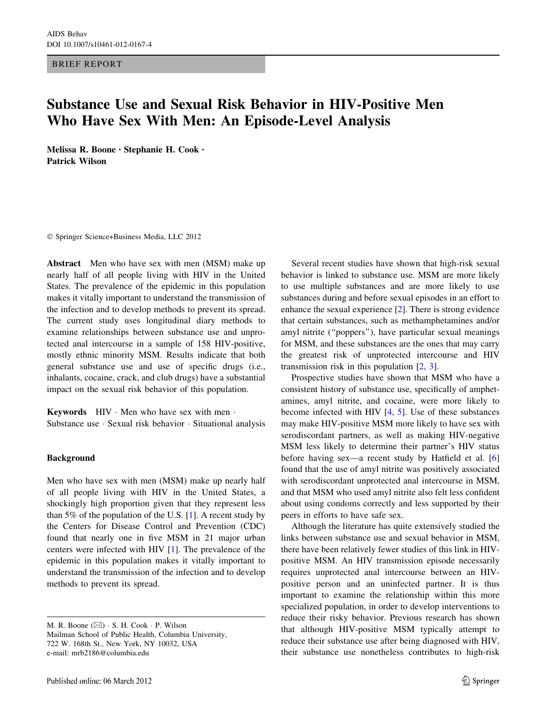BRIEF REPORT

# Substance Use and Sexual Risk Behavior in HIV-Positive Men Who Have Sex With Men: An Episode-Level Analysis

Melissa R. Boone • Stephanie H. Cook • Patrick Wilson

- Springer Science+Business Media, LLC 2012

Abstract Men who have sex with men (MSM) make up nearly half of all people living with HIV in the United States. The prevalence of the epidemic in this population makes it vitally important to understand the transmission of the infection and to develop methods to prevent its spread. The current study uses longitudinal diary methods to examine relationships between substance use and unprotected anal intercourse in a sample of 158 HIV-positive, mostly ethnic minority MSM. Results indicate that both general substance use and use of specific drugs (i.e., inhalants, cocaine, crack, and club drugs) have a substantial impact on the sexual risk behavior of this population.

Keywords  $HIV$   $\cdot$  Men who have sex with men  $\cdot$ Substance use - Sexual risk behavior - Situational analysis

## Background

Men who have sex with men (MSM) make up nearly half of all people living with HIV in the United States, a shockingly high proportion given that they represent less than 5% of the population of the U.S.  $[1]$  $[1]$ . A recent study by the Centers for Disease Control and Prevention (CDC) found that nearly one in five MSM in 21 major urban centers were infected with HIV [[1\]](#page-3-0). The prevalence of the epidemic in this population makes it vitally important to understand the transmission of the infection and to develop methods to prevent its spread.

Several recent studies have shown that high-risk sexual behavior is linked to substance use. MSM are more likely to use multiple substances and are more likely to use substances during and before sexual episodes in an effort to enhance the sexual experience [\[2](#page-3-0)]. There is strong evidence that certain substances, such as methamphetamines and/or amyl nitrite (''poppers''), have particular sexual meanings for MSM, and these substances are the ones that may carry the greatest risk of unprotected intercourse and HIV transmission risk in this population [[2,](#page-3-0) [3](#page-3-0)].

Prospective studies have shown that MSM who have a consistent history of substance use, specifically of amphetamines, amyl nitrite, and cocaine, were more likely to become infected with HIV [[4,](#page-3-0) [5\]](#page-3-0). Use of these substances may make HIV-positive MSM more likely to have sex with serodiscordant partners, as well as making HIV-negative MSM less likely to determine their partner's HIV status before having sex—a recent study by Hatfield et al. [[6\]](#page-3-0) found that the use of amyl nitrite was positively associated with serodiscordant unprotected anal intercourse in MSM, and that MSM who used amyl nitrite also felt less confident about using condoms correctly and less supported by their peers in efforts to have safe sex.

Although the literature has quite extensively studied the links between substance use and sexual behavior in MSM, there have been relatively fewer studies of this link in HIVpositive MSM. An HIV transmission episode necessarily requires unprotected anal intercourse between an HIVpositive person and an uninfected partner. It is thus important to examine the relationship within this more specialized population, in order to develop interventions to reduce their risky behavior. Previous research has shown that although HIV-positive MSM typically attempt to reduce their substance use after being diagnosed with HIV, their substance use nonetheless contributes to high-risk

M. R. Boone  $(\boxtimes) \cdot S$ . H. Cook  $\cdot P$ . Wilson Mailman School of Public Health, Columbia University, 722 W. 168th St., New York, NY 10032, USA e-mail: mrb2186@columbia.edu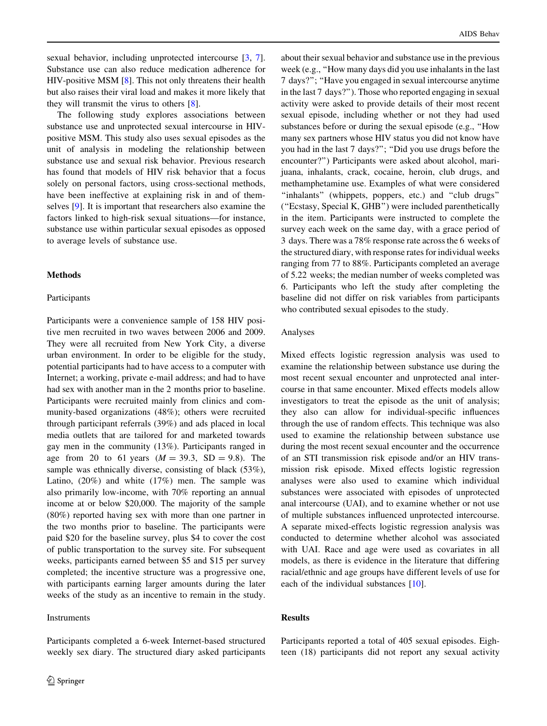sexual behavior, including unprotected intercourse [[3,](#page-3-0) [7](#page-3-0)]. Substance use can also reduce medication adherence for HIV-positive MSM [\[8](#page-3-0)]. This not only threatens their health but also raises their viral load and makes it more likely that they will transmit the virus to others [[8\]](#page-3-0).

The following study explores associations between substance use and unprotected sexual intercourse in HIVpositive MSM. This study also uses sexual episodes as the unit of analysis in modeling the relationship between substance use and sexual risk behavior. Previous research has found that models of HIV risk behavior that a focus solely on personal factors, using cross-sectional methods, have been ineffective at explaining risk in and of themselves [[9\]](#page-3-0). It is important that researchers also examine the factors linked to high-risk sexual situations—for instance, substance use within particular sexual episodes as opposed to average levels of substance use.

### Methods

#### Participants

Participants were a convenience sample of 158 HIV positive men recruited in two waves between 2006 and 2009. They were all recruited from New York City, a diverse urban environment. In order to be eligible for the study, potential participants had to have access to a computer with Internet; a working, private e-mail address; and had to have had sex with another man in the 2 months prior to baseline. Participants were recruited mainly from clinics and community-based organizations (48%); others were recruited through participant referrals (39%) and ads placed in local media outlets that are tailored for and marketed towards gay men in the community (13%). Participants ranged in age from 20 to 61 years  $(M = 39.3, SD = 9.8)$ . The sample was ethnically diverse, consisting of black (53%), Latino, (20%) and white (17%) men. The sample was also primarily low-income, with 70% reporting an annual income at or below \$20,000. The majority of the sample (80%) reported having sex with more than one partner in the two months prior to baseline. The participants were paid \$20 for the baseline survey, plus \$4 to cover the cost of public transportation to the survey site. For subsequent weeks, participants earned between \$5 and \$15 per survey completed; the incentive structure was a progressive one, with participants earning larger amounts during the later weeks of the study as an incentive to remain in the study.

Participants completed a 6-week Internet-based structured weekly sex diary. The structured diary asked participants

## Instruments

2 Springer

about their sexual behavior and substance use in the previous week (e.g., "How many days did you use inhalants in the last 7 days?''; ''Have you engaged in sexual intercourse anytime in the last 7 days?''). Those who reported engaging in sexual activity were asked to provide details of their most recent sexual episode, including whether or not they had used substances before or during the sexual episode (e.g., ''How many sex partners whose HIV status you did not know have you had in the last 7 days?"; "Did you use drugs before the encounter?'') Participants were asked about alcohol, marijuana, inhalants, crack, cocaine, heroin, club drugs, and methamphetamine use. Examples of what were considered "inhalants" (whippets, poppers, etc.) and "club drugs" (''Ecstasy, Special K, GHB'') were included parenthetically in the item. Participants were instructed to complete the survey each week on the same day, with a grace period of 3 days. There was a 78% response rate across the 6 weeks of the structured diary, with response rates for individual weeks ranging from 77 to 88%. Participants completed an average of 5.22 weeks; the median number of weeks completed was 6. Participants who left the study after completing the baseline did not differ on risk variables from participants who contributed sexual episodes to the study.

#### Analyses

Mixed effects logistic regression analysis was used to examine the relationship between substance use during the most recent sexual encounter and unprotected anal intercourse in that same encounter. Mixed effects models allow investigators to treat the episode as the unit of analysis; they also can allow for individual-specific influences through the use of random effects. This technique was also used to examine the relationship between substance use during the most recent sexual encounter and the occurrence of an STI transmission risk episode and/or an HIV transmission risk episode. Mixed effects logistic regression analyses were also used to examine which individual substances were associated with episodes of unprotected anal intercourse (UAI), and to examine whether or not use of multiple substances influenced unprotected intercourse. A separate mixed-effects logistic regression analysis was conducted to determine whether alcohol was associated with UAI. Race and age were used as covariates in all models, as there is evidence in the literature that differing racial/ethnic and age groups have different levels of use for each of the individual substances [\[10](#page-4-0)].

## Results

Participants reported a total of 405 sexual episodes. Eighteen (18) participants did not report any sexual activity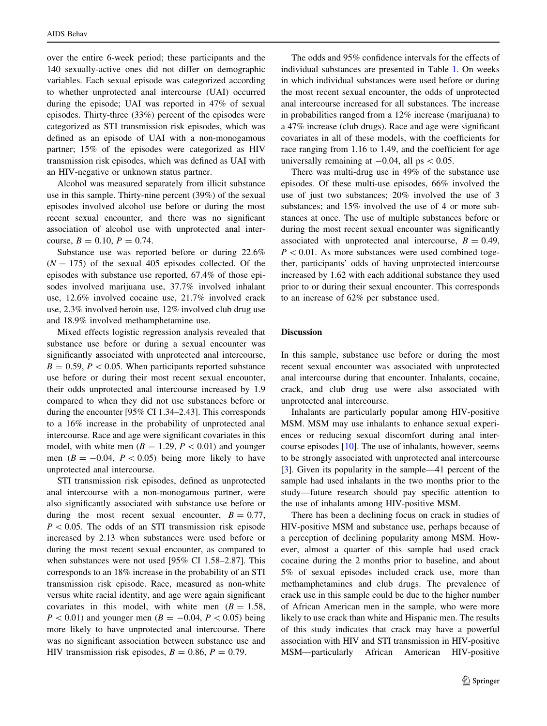over the entire 6-week period; these participants and the 140 sexually-active ones did not differ on demographic variables. Each sexual episode was categorized according to whether unprotected anal intercourse (UAI) occurred during the episode; UAI was reported in 47% of sexual episodes. Thirty-three (33%) percent of the episodes were categorized as STI transmission risk episodes, which was defined as an episode of UAI with a non-monogamous partner; 15% of the episodes were categorized as HIV transmission risk episodes, which was defined as UAI with an HIV-negative or unknown status partner.

Alcohol was measured separately from illicit substance use in this sample. Thirty-nine percent (39%) of the sexual episodes involved alcohol use before or during the most recent sexual encounter, and there was no significant association of alcohol use with unprotected anal intercourse,  $B = 0.10$ ,  $P = 0.74$ .

Substance use was reported before or during 22.6%  $(N = 175)$  of the sexual 405 episodes collected. Of the episodes with substance use reported, 67.4% of those episodes involved marijuana use, 37.7% involved inhalant use, 12.6% involved cocaine use, 21.7% involved crack use, 2.3% involved heroin use, 12% involved club drug use and 18.9% involved methamphetamine use.

Mixed effects logistic regression analysis revealed that substance use before or during a sexual encounter was significantly associated with unprotected anal intercourse,  $B = 0.59$ ,  $P < 0.05$ . When participants reported substance use before or during their most recent sexual encounter, their odds unprotected anal intercourse increased by 1.9 compared to when they did not use substances before or during the encounter [95% CI 1.34–2.43]. This corresponds to a 16% increase in the probability of unprotected anal intercourse. Race and age were significant covariates in this model, with white men ( $B = 1.29$ ,  $P < 0.01$ ) and younger men ( $B = -0.04$ ,  $P < 0.05$ ) being more likely to have unprotected anal intercourse.

STI transmission risk episodes, defined as unprotected anal intercourse with a non-monogamous partner, were also significantly associated with substance use before or during the most recent sexual encounter,  $B = 0.77$ ,  $P < 0.05$ . The odds of an STI transmission risk episode increased by 2.13 when substances were used before or during the most recent sexual encounter, as compared to when substances were not used [95% CI 1.58–2.87]. This corresponds to an 18% increase in the probability of an STI transmission risk episode. Race, measured as non-white versus white racial identity, and age were again significant covariates in this model, with white men  $(B = 1.58$ ,  $P < 0.01$ ) and younger men ( $B = -0.04, P < 0.05$ ) being more likely to have unprotected anal intercourse. There was no significant association between substance use and HIV transmission risk episodes,  $B = 0.86$ ,  $P = 0.79$ .

The odds and 95% confidence intervals for the effects of individual substances are presented in Table [1](#page-3-0). On weeks in which individual substances were used before or during the most recent sexual encounter, the odds of unprotected anal intercourse increased for all substances. The increase in probabilities ranged from a 12% increase (marijuana) to a 47% increase (club drugs). Race and age were significant covariates in all of these models, with the coefficients for race ranging from 1.16 to 1.49, and the coefficient for age universally remaining at  $-0.04$ , all ps  $< 0.05$ .

There was multi-drug use in 49% of the substance use episodes. Of these multi-use episodes, 66% involved the use of just two substances; 20% involved the use of 3 substances; and 15% involved the use of 4 or more substances at once. The use of multiple substances before or during the most recent sexual encounter was significantly associated with unprotected anal intercourse,  $B = 0.49$ ,  $P<0.01$ . As more substances were used combined together, participants' odds of having unprotected intercourse increased by 1.62 with each additional substance they used prior to or during their sexual encounter. This corresponds to an increase of 62% per substance used.

## Discussion

In this sample, substance use before or during the most recent sexual encounter was associated with unprotected anal intercourse during that encounter. Inhalants, cocaine, crack, and club drug use were also associated with unprotected anal intercourse.

Inhalants are particularly popular among HIV-positive MSM. MSM may use inhalants to enhance sexual experiences or reducing sexual discomfort during anal intercourse episodes [\[10](#page-4-0)]. The use of inhalants, however, seems to be strongly associated with unprotected anal intercourse [\[3](#page-3-0)]. Given its popularity in the sample—41 percent of the sample had used inhalants in the two months prior to the study—future research should pay specific attention to the use of inhalants among HIV-positive MSM.

There has been a declining focus on crack in studies of HIV-positive MSM and substance use, perhaps because of a perception of declining popularity among MSM. However, almost a quarter of this sample had used crack cocaine during the 2 months prior to baseline, and about 5% of sexual episodes included crack use, more than methamphetamines and club drugs. The prevalence of crack use in this sample could be due to the higher number of African American men in the sample, who were more likely to use crack than white and Hispanic men. The results of this study indicates that crack may have a powerful association with HIV and STI transmission in HIV-positive MSM—particularly African American HIV-positive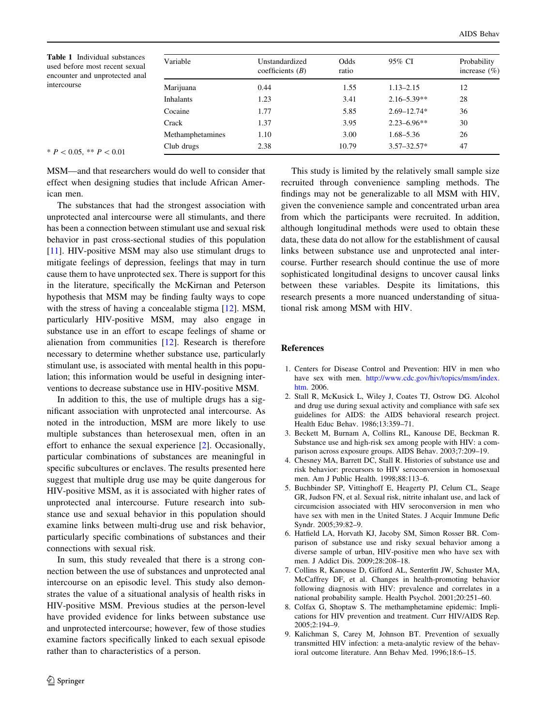<span id="page-3-0"></span>Table 1 Individual substances used before most recent sexual encounter and unprotected anal intercourse

| Variable         | Unstandardized<br>coefficients $(B)$ | Odds<br>ratio | 95% CI          | Probability<br>increase $(\% )$ |
|------------------|--------------------------------------|---------------|-----------------|---------------------------------|
|                  |                                      |               |                 |                                 |
| <b>Inhalants</b> | 1.23                                 | 3.41          | $2.16 - 5.39**$ | 28                              |
| Cocaine          | 1.77                                 | 5.85          | $2.69 - 12.74*$ | 36                              |
| Crack            | 1.37                                 | 3.95          | $2.23 - 6.96**$ | 30                              |
| Methamphetamines | 1.10                                 | 3.00          | 1.68–5.36       | 26                              |
| Club drugs       | 2.38                                 | 10.79         | $3.57 - 32.57*$ | 47                              |

 $* P < 0.05, ** P < 0.01$ 

MSM—and that researchers would do well to consider that effect when designing studies that include African American men.

The substances that had the strongest association with unprotected anal intercourse were all stimulants, and there has been a connection between stimulant use and sexual risk behavior in past cross-sectional studies of this population [\[11](#page-4-0)]. HIV-positive MSM may also use stimulant drugs to mitigate feelings of depression, feelings that may in turn cause them to have unprotected sex. There is support for this in the literature, specifically the McKirnan and Peterson hypothesis that MSM may be finding faulty ways to cope with the stress of having a concealable stigma [[12\]](#page-4-0). MSM, particularly HIV-positive MSM, may also engage in substance use in an effort to escape feelings of shame or alienation from communities [\[12](#page-4-0)]. Research is therefore necessary to determine whether substance use, particularly stimulant use, is associated with mental health in this population; this information would be useful in designing interventions to decrease substance use in HIV-positive MSM.

In addition to this, the use of multiple drugs has a significant association with unprotected anal intercourse. As noted in the introduction, MSM are more likely to use multiple substances than heterosexual men, often in an effort to enhance the sexual experience [2]. Occasionally, particular combinations of substances are meaningful in specific subcultures or enclaves. The results presented here suggest that multiple drug use may be quite dangerous for HIV-positive MSM, as it is associated with higher rates of unprotected anal intercourse. Future research into substance use and sexual behavior in this population should examine links between multi-drug use and risk behavior, particularly specific combinations of substances and their connections with sexual risk.

In sum, this study revealed that there is a strong connection between the use of substances and unprotected anal intercourse on an episodic level. This study also demonstrates the value of a situational analysis of health risks in HIV-positive MSM. Previous studies at the person-level have provided evidence for links between substance use and unprotected intercourse; however, few of those studies examine factors specifically linked to each sexual episode rather than to characteristics of a person.

This study is limited by the relatively small sample size recruited through convenience sampling methods. The findings may not be generalizable to all MSM with HIV, given the convenience sample and concentrated urban area from which the participants were recruited. In addition, although longitudinal methods were used to obtain these data, these data do not allow for the establishment of causal links between substance use and unprotected anal intercourse. Further research should continue the use of more sophisticated longitudinal designs to uncover causal links between these variables. Despite its limitations, this research presents a more nuanced understanding of situational risk among MSM with HIV.

#### References

- 1. Centers for Disease Control and Prevention: HIV in men who have sex with men. [http://www.cdc.gov/hiv/topics/msm/index.](http://www.cdc.gov/hiv/topics/msm/index.htm) [htm.](http://www.cdc.gov/hiv/topics/msm/index.htm) 2006.
- 2. Stall R, McKusick L, Wiley J, Coates TJ, Ostrow DG. Alcohol and drug use during sexual activity and compliance with safe sex guidelines for AIDS: the AIDS behavioral research project. Health Educ Behav. 1986;13:359–71.
- 3. Beckett M, Burnam A, Collins RL, Kanouse DE, Beckman R. Substance use and high-risk sex among people with HIV: a comparison across exposure groups. AIDS Behav. 2003;7:209–19.
- 4. Chesney MA, Barrett DC, Stall R. Histories of substance use and risk behavior: precursors to HIV seroconversion in homosexual men. Am J Public Health. 1998;88:113–6.
- 5. Buchbinder SP, Vittinghoff E, Heagerty PJ, Celum CL, Seage GR, Judson FN, et al. Sexual risk, nitrite inhalant use, and lack of circumcision associated with HIV seroconversion in men who have sex with men in the United States. J Acquir Immune Defic Syndr. 2005;39:82–9.
- 6. Hatfield LA, Horvath KJ, Jacoby SM, Simon Rosser BR. Comparison of substance use and risky sexual behavior among a diverse sample of urban, HIV-positive men who have sex with men. J Addict Dis. 2009;28:208–18.
- 7. Collins R, Kanouse D, Gifford AL, Senterfitt JW, Schuster MA, McCaffrey DF, et al. Changes in health-promoting behavior following diagnosis with HIV: prevalence and correlates in a national probability sample. Health Psychol. 2001;20:251–60.
- 8. Colfax G, Shoptaw S. The methamphetamine epidemic: Implications for HIV prevention and treatment. Curr HIV/AIDS Rep. 2005;2:194–9.
- 9. Kalichman S, Carey M, Johnson BT. Prevention of sexually transmitted HIV infection: a meta-analytic review of the behavioral outcome literature. Ann Behav Med. 1996;18:6–15.